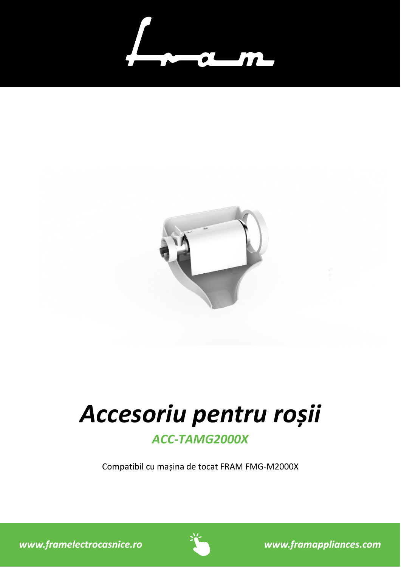m



## *Accesoriu pentru roșii ACC-TAMG2000X*

Compatibil cu mașina de tocat FRAM FMG-M2000X



www.framappliances.com

www.framelectrocasnice.ro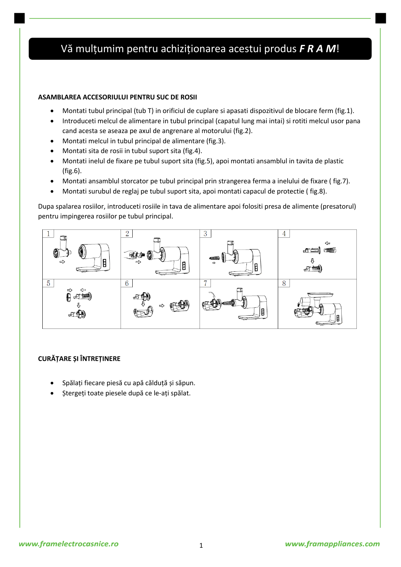### Vă mulțumim pentru achiziționarea acestui produs *F R A M*!

### **ASAMBLAREA ACCESORIULUI PENTRU SUC DE ROSII**

- Montati tubul principal (tub T) in orificiul de cuplare si apasati dispozitivul de blocare ferm (fig.1).
- Introduceti melcul de alimentare in tubul principal (capatul lung mai intai) si rotiti melcul usor pana cand acesta se aseaza pe axul de angrenare al motorului (fig.2).
- Montati melcul in tubul principal de alimentare (fig.3).
- Montati sita de rosii in tubul suport sita (fig.4).
- Montati inelul de fixare pe tubul suport sita (fig.5), apoi montati ansamblul in tavita de plastic (fig.6).
- Montati ansamblul storcator pe tubul principal prin strangerea ferma a inelului de fixare ( fig.7).
- Montati surubul de reglaj pe tubul suport sita, apoi montati capacul de protectie ( fig.8).

Dupa spalarea rosiilor, introduceti rosiile in tava de alimentare apoi folositi presa de alimente (presatorul) pentru impingerea rosiilor pe tubul principal.



### **CURĂȚARE ȘI ÎNTREȚINERE**

- Spălați fiecare piesă cu apă călduță și săpun.
- Ștergeți toate piesele după ce le-ați spălat.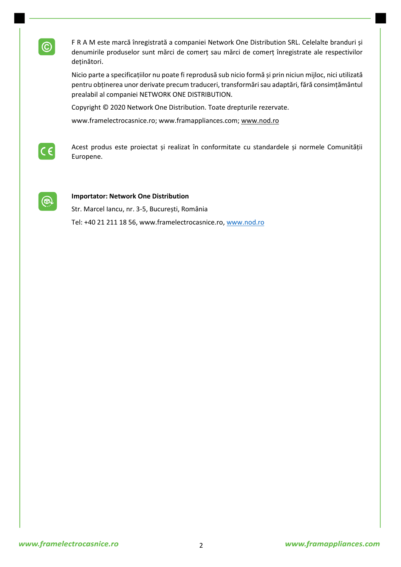

F R A M este marcă înregistrată a companiei Network One Distribution SRL. Celelalte branduri și denumirile produselor sunt mărci de comerț sau mărci de comerț înregistrate ale respectivilor deținători.

Nicio parte a specificațiilor nu poate fi reprodusă sub nicio formă și prin niciun mijloc, nici utilizată pentru obținerea unor derivate precum traduceri, transformări sau adaptări, fără consimțământul prealabil al companiei NETWORK ONE DISTRIBUTION.

Copyright © 2020 Network One Distribution. Toate drepturile rezervate.

www.framelectrocasnice.ro; www.framappliances.com; [www.nod.ro](http://www.nod.ro/)



Acest produs este proiectat și realizat în conformitate cu standardele și normele Comunității Europene.



#### **Importator: Network One Distribution**

Str. Marcel Iancu, nr. 3-5, București, România Tel: +40 21 211 18 56, www.framelectrocasnice.ro, [www.nod.ro](http://www.nod.ro/)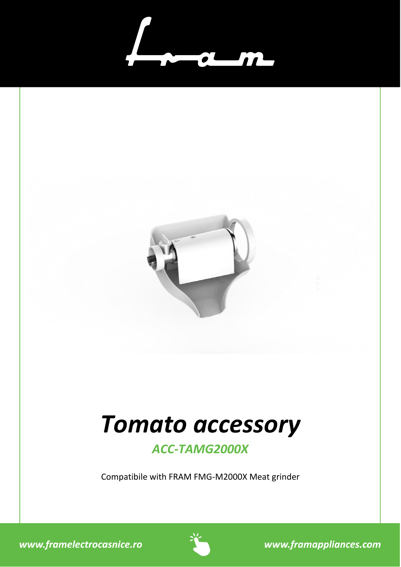$\alpha$  m



# *Tomato accessory*

### *ACC-TAMG2000X*

Compatibile with FRAM FMG-M2000X Meat grinder

www.framelectrocasnice.ro



www.framappliances.com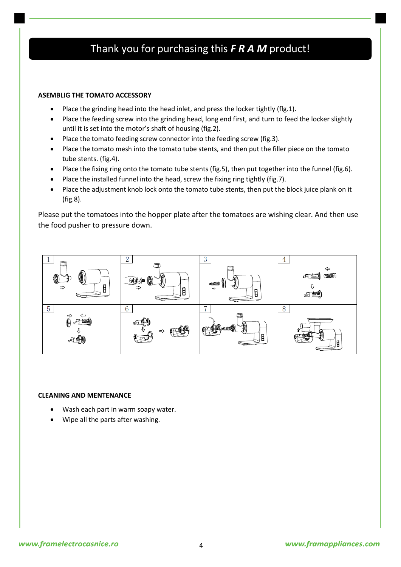### Thank you for purchasing this *F R A M* product!

#### **ASEMBLIG THE TOMATO ACCESSORY**

- Place the grinding head into the head inlet, and press the locker tightly (flg.1).
- Place the feeding screw into the grinding head, long end first, and turn to feed the locker slightly until it is set into the motor's shaft of housing (fig.2).
- Place the tomato feeding screw connector into the feeding screw (fig.3).
- Place the tomato mesh into the tomato tube stents, and then put the filler piece on the tomato tube stents. (fig.4).
- Place the fixing ring onto the tomato tube stents (fig.5), then put together into the funnel (fig.6).
- Place the installed funnel into the head, screw the fixing ring tightly (fig.7).
- Place the adjustment knob lock onto the tomato tube stents, then put the block juice plank on it (fig.8).

Please put the tomatoes into the hopper plate after the tomatoes are wishing clear. And then use the food pusher to pressure down.



#### **CLEANING AND MENTENANCE**

- Wash each part in warm soapy water.
- Wipe all the parts after washing.